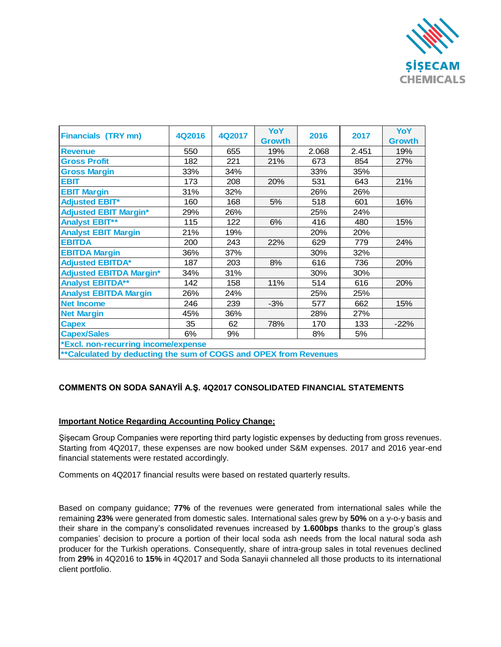

| <b>Financials (TRY mn)</b>                                        | 4Q2016 | 4Q2017 | YoY<br><b>Growth</b> | 2016  | 2017  | YoY<br><b>Growth</b> |
|-------------------------------------------------------------------|--------|--------|----------------------|-------|-------|----------------------|
| <b>Revenue</b>                                                    | 550    | 655    | 19%                  | 2.068 | 2.451 | 19%                  |
| <b>Gross Profit</b>                                               | 182    | 221    | 21%                  | 673   | 854   | 27%                  |
| <b>Gross Margin</b>                                               | 33%    | 34%    |                      | 33%   | 35%   |                      |
| <b>EBIT</b>                                                       | 173    | 208    | 20%                  | 531   | 643   | 21%                  |
| <b>EBIT Margin</b>                                                | 31%    | 32%    |                      | 26%   | 26%   |                      |
| <b>Adjusted EBIT*</b>                                             | 160    | 168    | 5%                   | 518   | 601   | 16%                  |
| <b>Adjusted EBIT Margin*</b>                                      | 29%    | 26%    |                      | 25%   | 24%   |                      |
| <b>Analyst EBIT**</b>                                             | 115    | 122    | 6%                   | 416   | 480   | 15%                  |
| <b>Analyst EBIT Margin</b>                                        | 21%    | 19%    |                      | 20%   | 20%   |                      |
| <b>EBITDA</b>                                                     | 200    | 243    | 22%                  | 629   | 779   | 24%                  |
| <b>EBITDA Margin</b>                                              | 36%    | 37%    |                      | 30%   | 32%   |                      |
| <b>Adjusted EBITDA*</b>                                           | 187    | 203    | 8%                   | 616   | 736   | 20%                  |
| <b>Adjusted EBITDA Margin*</b>                                    | 34%    | 31%    |                      | 30%   | 30%   |                      |
| <b>Analyst EBITDA**</b>                                           | 142    | 158    | 11%                  | 514   | 616   | 20%                  |
| <b>Analyst EBITDA Margin</b>                                      | 26%    | 24%    |                      | 25%   | 25%   |                      |
| <b>Net Income</b>                                                 | 246    | 239    | $-3%$                | 577   | 662   | 15%                  |
| <b>Net Margin</b>                                                 | 45%    | 36%    |                      | 28%   | 27%   |                      |
| <b>Capex</b>                                                      | 35     | 62     | 78%                  | 170   | 133   | $-22%$               |
| <b>Capex/Sales</b>                                                | 6%     | 9%     |                      | 8%    | 5%    |                      |
| *Excl. non-recurring income/expense                               |        |        |                      |       |       |                      |
| ** Calculated by deducting the sum of COGS and OPEX from Revenues |        |        |                      |       |       |                      |

## **COMMENTS ON SODA SANAYİİ A.Ş. 4Q2017 CONSOLIDATED FINANCIAL STATEMENTS**

## **Important Notice Regarding Accounting Policy Change;**

Şişecam Group Companies were reporting third party logistic expenses by deducting from gross revenues. Starting from 4Q2017, these expenses are now booked under S&M expenses. 2017 and 2016 year-end financial statements were restated accordingly.

Comments on 4Q2017 financial results were based on restated quarterly results.

Based on company guidance; **77%** of the revenues were generated from international sales while the remaining **23%** were generated from domestic sales. International sales grew by **50%** on a y-o-y basis and their share in the company's consolidated revenues increased by **1.600bps** thanks to the group's glass companies' decision to procure a portion of their local soda ash needs from the local natural soda ash producer for the Turkish operations. Consequently, share of intra-group sales in total revenues declined from **29%** in 4Q2016 to **15%** in 4Q2017 and Soda Sanayii channeled all those products to its international client portfolio.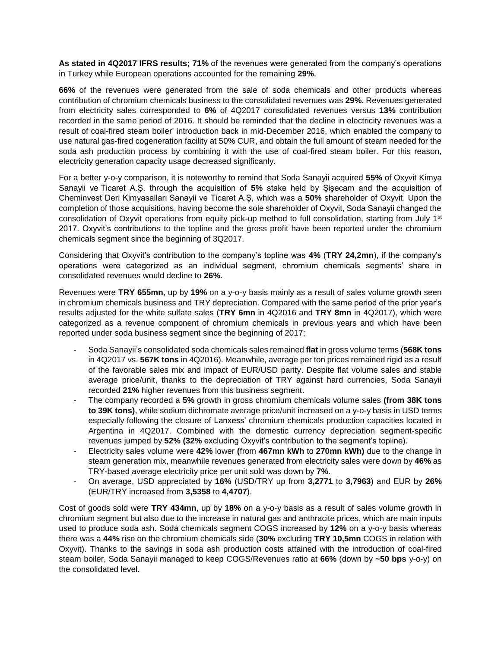**As stated in 4Q2017 IFRS results; 71%** of the revenues were generated from the company's operations in Turkey while European operations accounted for the remaining **29%**.

**66%** of the revenues were generated from the sale of soda chemicals and other products whereas contribution of chromium chemicals business to the consolidated revenues was **29%**. Revenues generated from electricity sales corresponded to **6%** of 4Q2017 consolidated revenues versus **13%** contribution recorded in the same period of 2016. It should be reminded that the decline in electricity revenues was a result of coal-fired steam boiler' introduction back in mid-December 2016, which enabled the company to use natural gas-fired cogeneration facility at 50% CUR, and obtain the full amount of steam needed for the soda ash production process by combining it with the use of coal-fired steam boiler. For this reason, electricity generation capacity usage decreased significanly.

For a better y-o-y comparison, it is noteworthy to remind that Soda Sanayii acquired **55%** of Oxyvit Kimya Sanayii ve Ticaret A.Ş. through the acquisition of **5%** stake held by Şişecam and the acquisition of Cheminvest Deri Kimyasalları Sanayii ve Ticaret A.Ş, which was a **50%** shareholder of Oxyvit. Upon the completion of those acquisitions, having become the sole shareholder of Oxyvit, Soda Sanayii changed the consolidation of Oxyvit operations from equity pick-up method to full consolidation, starting from July 1<sup>st</sup> 2017. Oxyvit's contributions to the topline and the gross profit have been reported under the chromium chemicals segment since the beginning of 3Q2017.

Considering that Oxyvit's contribution to the company's topline was **4%** (**TRY 24,2mn**), if the company's operations were categorized as an individual segment, chromium chemicals segments' share in consolidated revenues would decline to **26%**.

Revenues were **TRY 655mn**, up by **19%** on a y-o-y basis mainly as a result of sales volume growth seen in chromium chemicals business and TRY depreciation. Compared with the same period of the prior year's results adjusted for the white sulfate sales (**TRY 6mn** in 4Q2016 and **TRY 8mn** in 4Q2017), which were categorized as a revenue component of chromium chemicals in previous years and which have been reported under soda business segment since the beginning of 2017;

- Soda Sanayii's consolidated soda chemicals sales remained **flat** in gross volume terms (**568K tons** in 4Q2017 vs. **567K tons** in 4Q2016). Meanwhile, average per ton prices remained rigid as a result of the favorable sales mix and impact of EUR/USD parity. Despite flat volume sales and stable average price/unit, thanks to the depreciation of TRY against hard currencies, Soda Sanayii recorded **21%** higher revenues from this business segment.
- The company recorded a **5%** growth in gross chromium chemicals volume sales **(from 38K tons to 39K tons)**, while sodium dichromate average price/unit increased on a y-o-y basis in USD terms especially following the closure of Lanxess' chromium chemicals production capacities located in Argentina in 4Q2017. Combined with the domestic currency depreciation segment-specific revenues jumped by **52% (32%** excluding Oxyvit's contribution to the segment's topline).
- Electricity sales volume were **42%** lower **(**from **467mn kWh** to **270mn kWh)** due to the change in steam generation mix, meanwhile revenues generated from electricity sales were down by **46%** as TRY-based average electricity price per unit sold was down by **7%**.
- On average, USD appreciated by **16%** (USD/TRY up from **3,2771** to **3,7963**) and EUR by **26%** (EUR/TRY increased from **3,5358** to **4,4707**).

Cost of goods sold were **TRY 434mn**, up by **18%** on a y-o-y basis as a result of sales volume growth in chromium segment but also due to the increase in natural gas and anthracite prices, which are main inputs used to produce soda ash. Soda chemicals segment COGS increased by **12%** on a y-o-y basis whereas there was a **44%** rise on the chromium chemicals side (**30%** excluding **TRY 10,5mn** COGS in relation with Oxyvit). Thanks to the savings in soda ash production costs attained with the introduction of coal-fired steam boiler, Soda Sanayii managed to keep COGS/Revenues ratio at **66%** (down by **~50 bps** y-o-y) on the consolidated level.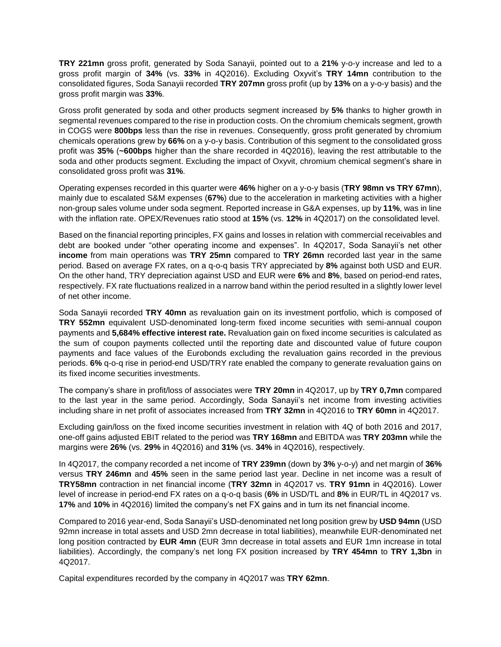**TRY 221mn** gross profit, generated by Soda Sanayii, pointed out to a **21%** y-o-y increase and led to a gross profit margin of **34%** (vs. **33%** in 4Q2016). Excluding Oxyvit's **TRY 14mn** contribution to the consolidated figures, Soda Sanayii recorded **TRY 207mn** gross profit (up by **13%** on a y-o-y basis) and the gross profit margin was **33%**.

Gross profit generated by soda and other products segment increased by **5%** thanks to higher growth in segmental revenues compared to the rise in production costs. On the chromium chemicals segment, growth in COGS were **800bps** less than the rise in revenues. Consequently, gross profit generated by chromium chemicals operations grew by **66%** on a y-o-y basis. Contribution of this segment to the consolidated gross profit was **35%** (**~600bps** higher than the share recorded in 4Q2016), leaving the rest attributable to the soda and other products segment. Excluding the impact of Oxyvit, chromium chemical segment's share in consolidated gross profit was **31%**.

Operating expenses recorded in this quarter were **46%** higher on a y-o-y basis (**TRY 98mn vs TRY 67mn**), mainly due to escalated S&M expenses (**67%**) due to the acceleration in marketing activities with a higher non-group sales volume under soda segment. Reported increase in G&A expenses, up by **11%**, was in line with the inflation rate. OPEX/Revenues ratio stood at **15%** (vs. **12%** in 4Q2017) on the consolidated level.

Based on the financial reporting principles, FX gains and losses in relation with commercial receivables and debt are booked under "other operating income and expenses". In 4Q2017, Soda Sanayii's net other **income** from main operations was **TRY 25mn** compared to **TRY 26mn** recorded last year in the same period. Based on average FX rates, on a q-o-q basis TRY appreciated by **8%** against both USD and EUR. On the other hand, TRY depreciation against USD and EUR were **6%** and **8%**, based on period-end rates, respectively. FX rate fluctuations realized in a narrow band within the period resulted in a slightly lower level of net other income.

Soda Sanayii recorded **TRY 40mn** as revaluation gain on its investment portfolio, which is composed of **TRY 552mn** equivalent USD-denominated long-term fixed income securities with semi-annual coupon payments and **5,684% effective interest rate.** Revaluation gain on fixed income securities is calculated as the sum of coupon payments collected until the reporting date and discounted value of future coupon payments and face values of the Eurobonds excluding the revaluation gains recorded in the previous periods. **6%** q-o-q rise in period-end USD/TRY rate enabled the company to generate revaluation gains on its fixed income securities investments.

The company's share in profit/loss of associates were **TRY 20mn** in 4Q2017, up by **TRY 0,7mn** compared to the last year in the same period. Accordingly, Soda Sanayii's net income from investing activities including share in net profit of associates increased from **TRY 32mn** in 4Q2016 to **TRY 60mn** in 4Q2017.

Excluding gain/loss on the fixed income securities investment in relation with 4Q of both 2016 and 2017, one-off gains adjusted EBIT related to the period was **TRY 168mn** and EBITDA was **TRY 203mn** while the margins were **26%** (vs. **29%** in 4Q2016) and **31%** (vs. **34%** in 4Q2016), respectively.

In 4Q2017, the company recorded a net income of **TRY 239mn** (down by **3%** y-o-y) and net margin of **36%** versus **TRY 246mn** and **45%** seen in the same period last year. Decline in net income was a result of **TRY58mn** contraction in net financial income (**TRY 32mn** in 4Q2017 vs. **TRY 91mn** in 4Q2016). Lower level of increase in period-end FX rates on a q-o-q basis (**6%** in USD/TL and **8%** in EUR/TL in 4Q2017 vs. **17%** and **10%** in 4Q2016) limited the company's net FX gains and in turn its net financial income.

Compared to 2016 year-end, Soda Sanayii's USD-denominated net long position grew by **USD 94mn** (USD 92mn increase in total assets and USD 2mn decrease in total liabilities), meanwhile EUR-denominated net long position contracted by **EUR 4mn** (EUR 3mn decrease in total assets and EUR 1mn increase in total liabilities). Accordingly, the company's net long FX position increased by **TRY 454mn** to **TRY 1,3bn** in 4Q2017.

Capital expenditures recorded by the company in 4Q2017 was **TRY 62mn**.